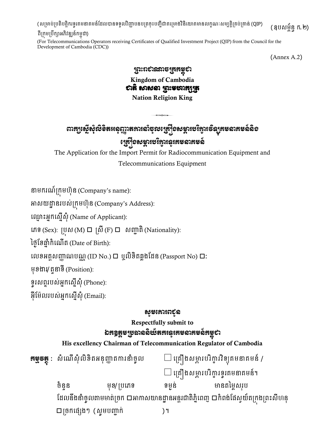(សម្រាប់ប្រតិបត្តិករទូរគមនាគមន៍ដែលបានទទួលវិញ្ញាបនបត្រចុះបញ្ជីជាគម្រោងវិនិយោគមានលក្ខណៈសម្បត្តិគ្រប់គ្រាន់ (QIP)

#### ពីម្រកុម្ម្របឹកាអភិវឌ្ឍន្៍កម្ពុជា)

(For Telecommunications Operators receiving Certificates of Qualified Investment Project (QIP) from the Council for the Development of Cambodia (CDC))

(Annex A.2)

(ឧបសម្ព័ន្ធ ក.២)

### ព្រះរាជាណាចព្ររម្ពុជា Kingdom of Cambodia បាតិ សាសនា ព្រះមហាក្សត្រ Nation Religion King

# ពារក្យស្ដើសុំលិខិតអនុញ្ញាតការសំចុលច្រៀំទសម្ភារបរិក្ខារទិន្យុគមនាគមន៍និទ ្រស្រីខសម្ភារបរិក្ខារនូវគមនាគមន៍

The Application for the Import Permit for Radiocommunication Equipment and Telecommunications Equipment

នាម្ករណ៍ម្រកុម្ហ ន្ (Company's name):

អាសយដ្ឋា ន្របស់ម្រកុម្ហ ន្ (Company's Address):

ម្្ម ុះអនកម្សនើស ុំ(Name of Applicant):

កេទ (Sex): ប្រុស (M) □ ស្រី (F) □ សញ្ជាតិ (Nationality):

ថ្ងៃខែឆ្នាំកំណើត (Date of Birth):

លេខអត្តសញ្ញាណបណ្ណ (ID No.)  $\Box$  ឬលិខិតឆ្លងដែន (Passport No)  $\Box$ :

ម្ ែងារ/តួនាទី(Position):

ទូរសព្ទរបស់អ្នកស្នើសុំ (Phone):

អ៊ីម៉ែលរបស់អ្នកស្នើសុំ (Email):

#### សូម្សោររជូន

Respectfully submit to ឯកឧត្តមប្រធាននិយ័តភរន្ទរគមនាគមន៍គម្ពុជា

His excellency Chairman of Telecommunication Regulator of Cambodia

| <b>ឝម្វូទឝ្តុ</b> :   សំណើសុំលិខិតអនុញ្ញាតការនាំច្ងុល                                |             | $\Box$ គ្រឿងសម្ភារបរិក្ខារវិទ្យុគមនាគមន៍ / |              |  |
|--------------------------------------------------------------------------------------|-------------|--------------------------------------------|--------------|--|
|                                                                                      |             | $\Box$ គ្រឿងសម្ភារបរិក្ខារទូរគមនាគមន៍។     |              |  |
| ចំនួន                                                                                | មុខ/ ប្រភេទ | ទម្ងន់                                     | មានតម្លៃសរុប |  |
| ដែលនឹងនាំច្ចូលតាមមាត់ច្រក □អាកាសយានដ្ឋានអន្តរជាតិភ្នំពេញ □កំពង់ផែស្វយ័តក្រងព្រះសីហនុ |             |                                            |              |  |
| $\square$ ច្រកផ្សេងៗ (សូមបញ្ជាក់                                                     |             |                                            |              |  |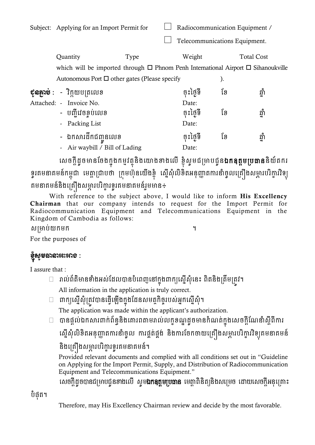|                                                                                                   | Subject: Applying for an Import Permit for |      | Radiocommunication Equipment / |                   |       |  |
|---------------------------------------------------------------------------------------------------|--------------------------------------------|------|--------------------------------|-------------------|-------|--|
|                                                                                                   |                                            |      | Telecommunications Equipment.  |                   |       |  |
|                                                                                                   | Quantity                                   | Type | Weight                         | <b>Total Cost</b> |       |  |
| which will be imported through $\square$ Phnom Penh International Airport $\square$ Sihanoukville |                                            |      |                                |                   |       |  |
| Autonomous Port $\square$ other gates (Please specify                                             |                                            |      |                                | ).                |       |  |
|                                                                                                   | ខុនត្តរម៎ : - វិក្កុយបុត្រលេខ              |      | ចុះថ្ងៃទី                      | ខែ                | ឆ្នាំ |  |
|                                                                                                   | Attached: - Invoice No.                    |      | Date:                          |                   |       |  |
|                                                                                                   | - បញ្ជីវេចខ្ចប់លេខ                         |      | ចុះថ្ងៃទី                      | ខែ                | ឆាំ   |  |
|                                                                                                   | - Packing List                             |      | Date:                          |                   |       |  |
|                                                                                                   | - ឯកសារដឹកជំពានលេខ                         |      | ចុះថ្ងៃទី                      | ទែ                | ឆាំ   |  |

- Air waybill / Bill of Lading Date:

សេចក្ដីដូចមានចែងក្នុងកម្មវត្ថុនិងយោងខាងលើ ខ្ញុំសូមជម្រាបជូន**ឯកឧត្តមប្រធាន**និយ័តករ ទ្ធរគមនាគមន៍កម្ពុជា មេត្តាជ្រាបថា ក្រុមហ៊ុនយើងខ្ញុំ ស្នើសុំលិខិតអនុញ្ញាតការនាំច្ងុលគ្រឿងសម្ភារបរិក្ខារវិទ្យុ គមនាគមន៍និងគ្រឿងសម្ភារបរិក្ខារទូរគមនាគមន៍រួមមាន÷

With reference to the subject above, I would like to inform His Excellency Chairman that our company intends to request for the Import Permit for Radiocommunication Equipment and Telecommunications Equipment in the Kingdom of Cambodia as follows:

សម្រាប់យកម្ក ។

For the purposes of

# ខុំស្ុ ូម្ធានាអះអាង :

I assure that :

- $\Box$  រាល់ព័តិមានទាំងអស់ដែលបានបំពេញនៅក្នុងពាក្យស្នើសុំនេះ ពិតនិងត្រឹមត្រវ។ All information in the application is truly correct.
- $\Box$  ពាក្យស្នើសុំត្រូវបានធ្វើឡើងក្នុងដែនសមត្ថកិច្ចរបស់អ្នកស្នើសុំ។ The application was made within the applicant's authorization.
- $\Box$  បានផ្តល់ឯកសារពាក់ព័ន្ធនិងគោរពតាមរាល់លក្ខខណ្ឌដូចមានកំណត់ក្នុងសេចក្តីណែនាំស្តីពីការ

ស្នើសុំលិខិតអនុញ្ញាតការនាំចូល ការផ្គត់ផ្គង់ និងការចែកចាយគ្រឿងសម្ភារបរិក្ខារវិទ្យុគមនាគមន៍

## និងគ្រឿងសម្ភារបរិក្ខារទូរគមនាគមន៍។

Provided relevant documents and complied with all conditions set out in "Guideline on Applying for the Import Permit, Supply, and Distribution of Radiocommunication Equipment and Telecommunications Equipment."

សេចក្ដីដូចបានជម្រាបជូនខាងលើ ស្ទម**ឯកឧត្តមប្រធាន** មេត្តាពិនិត្យនិងសម្រេច ដោយសេចក្ដីអនុគ្រោះ

បំផុត។

Therefore, may His Excellency Chairman review and decide by the most favorable.